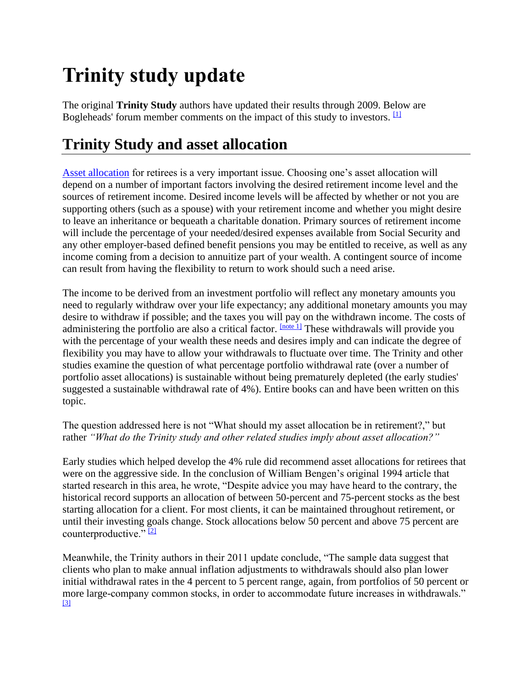# **Trinity study update**

The original **Trinity Study** authors have updated their results through 2009. Below are Bogleheads' forum member comments on the impact of this study to investors.  $[1]$ 

## **Trinity Study and asset allocation**

[Asset allocation](https://www.bogleheads.org/wiki/Asset_allocation) for retirees is a very important issue. Choosing one's asset allocation will depend on a number of important factors involving the desired retirement income level and the sources of retirement income. Desired income levels will be affected by whether or not you are supporting others (such as a spouse) with your retirement income and whether you might desire to leave an inheritance or bequeath a charitable donation. Primary sources of retirement income will include the percentage of your needed/desired expenses available from Social Security and any other employer-based defined benefit pensions you may be entitled to receive, as well as any income coming from a decision to annuitize part of your wealth. A contingent source of income can result from having the flexibility to return to work should such a need arise.

The income to be derived from an investment portfolio will reflect any monetary amounts you need to regularly withdraw over your life expectancy; any additional monetary amounts you may desire to withdraw if possible; and the taxes you will pay on the withdrawn income. The costs of administering the portfolio are also a critical factor. **[\[note 1\]](https://www.bogleheads.org/wiki/Trinity_study_update#cite_note-2)** These withdrawals will provide you with the percentage of your wealth these needs and desires imply and can indicate the degree of flexibility you may have to allow your withdrawals to fluctuate over time. The Trinity and other studies examine the question of what percentage portfolio withdrawal rate (over a number of portfolio asset allocations) is sustainable without being prematurely depleted (the early studies' suggested a sustainable withdrawal rate of 4%). Entire books can and have been written on this topic.

The question addressed here is not "What should my asset allocation be in retirement?," but rather *"What do the Trinity study and other related studies imply about asset allocation?"*

Early studies which helped develop the 4% rule did recommend asset allocations for retirees that were on the aggressive side. In the conclusion of William Bengen's original 1994 article that started research in this area, he wrote, "Despite advice you may have heard to the contrary, the historical record supports an allocation of between 50-percent and 75-percent stocks as the best starting allocation for a client. For most clients, it can be maintained throughout retirement, or until their investing goals change. Stock allocations below 50 percent and above 75 percent are counterproductive."  $[2]$ 

Meanwhile, the Trinity authors in their 2011 update conclude, "The sample data suggest that clients who plan to make annual inflation adjustments to withdrawals should also plan lower initial withdrawal rates in the 4 percent to 5 percent range, again, from portfolios of 50 percent or more large-company common stocks, in order to accommodate future increases in withdrawals." [\[3\]](https://www.bogleheads.org/wiki/Trinity_study_update#cite_note-4)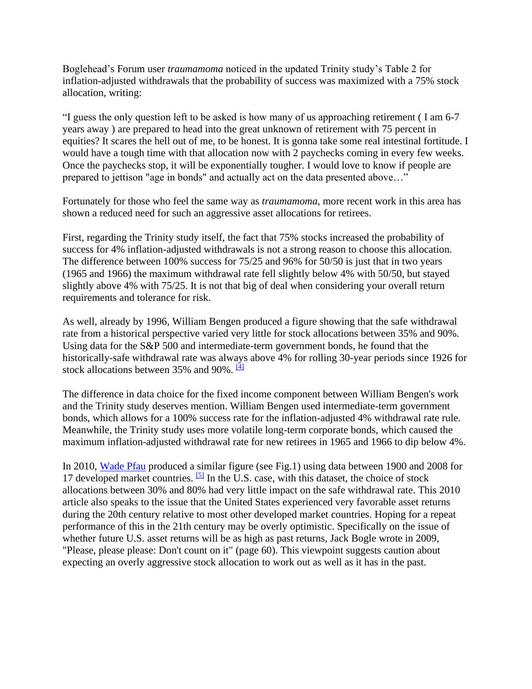Boglehead's Forum user *traumamoma* noticed in the updated Trinity study's Table 2 for inflation-adjusted withdrawals that the probability of success was maximized with a 75% stock allocation, writing:

"I guess the only question left to be asked is how many of us approaching retirement ( I am 6-7 years away ) are prepared to head into the great unknown of retirement with 75 percent in equities? It scares the hell out of me, to be honest. It is gonna take some real intestinal fortitude. I would have a tough time with that allocation now with 2 paychecks coming in every few weeks. Once the paychecks stop, it will be exponentially tougher. I would love to know if people are prepared to jettison "age in bonds" and actually act on the data presented above…"

Fortunately for those who feel the same way as *traumamoma*, more recent work in this area has shown a reduced need for such an aggressive asset allocations for retirees.

First, regarding the Trinity study itself, the fact that 75% stocks increased the probability of success for 4% inflation-adjusted withdrawals is not a strong reason to choose this allocation. The difference between 100% success for 75/25 and 96% for 50/50 is just that in two years (1965 and 1966) the maximum withdrawal rate fell slightly below 4% with 50/50, but stayed slightly above 4% with 75/25. It is not that big of deal when considering your overall return requirements and tolerance for risk.

As well, already by 1996, William Bengen produced a figure showing that the safe withdrawal rate from a historical perspective varied very little for stock allocations between 35% and 90%. Using data for the S&P 500 and intermediate-term government bonds, he found that the historically-safe withdrawal rate was always above 4% for rolling 30-year periods since 1926 for stock allocations between 35% and 90%.  $[4]$ 

The difference in data choice for the fixed income component between William Bengen's work and the Trinity study deserves mention. William Bengen used intermediate-term government bonds, which allows for a 100% success rate for the inflation-adjusted 4% withdrawal rate rule. Meanwhile, the Trinity study uses more volatile long-term corporate bonds, which caused the maximum inflation-adjusted withdrawal rate for new retirees in 1965 and 1966 to dip below 4%.

In 2010, [Wade Pfau](https://www.bogleheads.org/wiki/Wade_Pfau) produced a similar figure (see Fig.1) using data between 1900 and 2008 for 17 developed market countries.  $[5]$  In the U.S. case, with this dataset, the choice of stock allocations between 30% and 80% had very little impact on the safe withdrawal rate. This 2010 article also speaks to the issue that the United States experienced very favorable asset returns during the 20th century relative to most other developed market countries. Hoping for a repeat performance of this in the 21th century may be overly optimistic. Specifically on the issue of whether future U.S. asset returns will be as high as past returns, Jack Bogle wrote in 2009, "Please, please please: Don't count on it" (page 60). This viewpoint suggests caution about expecting an overly aggressive stock allocation to work out as well as it has in the past.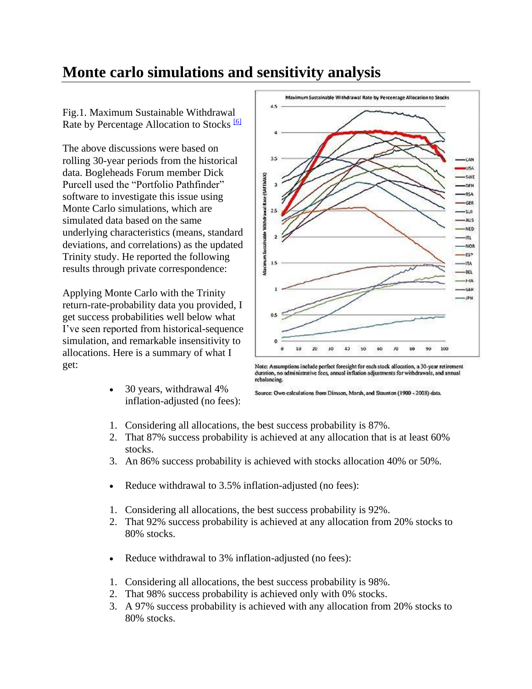#### **Monte carlo simulations and sensitivity analysis**

Fig.1. Maximum Sustainable Withdrawal Rate by Percentage Allocation to Stocks<sup>[\[6\]](https://www.bogleheads.org/wiki/Trinity_study_update#cite_note-7)</sup>

The above discussions were based on rolling 30-year periods from the historical data. Bogleheads Forum member Dick Purcell used the "Portfolio Pathfinder" software to investigate this issue using Monte Carlo simulations, which are simulated data based on the same underlying characteristics (means, standard deviations, and correlations) as the updated Trinity study. He reported the following results through private correspondence:

Applying Monte Carlo with the Trinity return-rate-probability data you provided, I get success probabilities well below what I've seen reported from historical-sequence simulation, and remarkable insensitivity to allocations. Here is a summary of what I get:

> • 30 years, withdrawal 4% inflation-adjusted (no fees):



Note: Assumptions include perfect foresight for each stock allocation, a 30-year retirement duration, no administrative fees, annual inflation adjustments for withdrawals, and annual rebalancing.

Source: Own calculations from Dimson, Marsh, and Staunton (1900 - 2008) data.

- 1. Considering all allocations, the best success probability is 87%.
- 2. That 87% success probability is achieved at any allocation that is at least 60% stocks.
- 3. An 86% success probability is achieved with stocks allocation 40% or 50%.
- Reduce withdrawal to 3.5% inflation-adjusted (no fees):
- 1. Considering all allocations, the best success probability is 92%.
- 2. That 92% success probability is achieved at any allocation from 20% stocks to 80% stocks.
- Reduce withdrawal to 3% inflation-adjusted (no fees):
- 1. Considering all allocations, the best success probability is 98%.
- 2. That 98% success probability is achieved only with 0% stocks.
- 3. A 97% success probability is achieved with any allocation from 20% stocks to 80% stocks.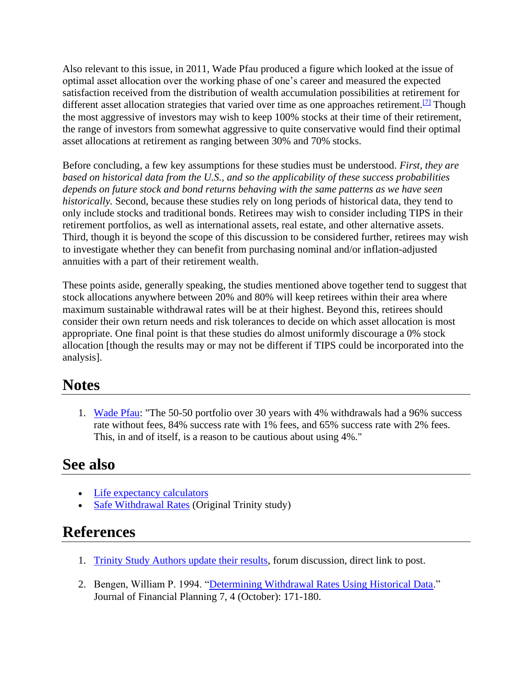Also relevant to this issue, in 2011, Wade Pfau produced a figure which looked at the issue of optimal asset allocation over the working phase of one's career and measured the expected satisfaction received from the distribution of wealth accumulation possibilities at retirement for different asset allocation strategies that varied over time as one approaches retirement.<sup>[\[7\]](https://www.bogleheads.org/wiki/Trinity_study_update#cite_note-8)</sup> Though the most aggressive of investors may wish to keep 100% stocks at their time of their retirement, the range of investors from somewhat aggressive to quite conservative would find their optimal asset allocations at retirement as ranging between 30% and 70% stocks.

Before concluding, a few key assumptions for these studies must be understood. *First, they are based on historical data from the U.S., and so the applicability of these success probabilities depends on future stock and bond returns behaving with the same patterns as we have seen historically.* Second, because these studies rely on long periods of historical data, they tend to only include stocks and traditional bonds. Retirees may wish to consider including TIPS in their retirement portfolios, as well as international assets, real estate, and other alternative assets. Third, though it is beyond the scope of this discussion to be considered further, retirees may wish to investigate whether they can benefit from purchasing nominal and/or inflation-adjusted annuities with a part of their retirement wealth.

These points aside, generally speaking, the studies mentioned above together tend to suggest that stock allocations anywhere between 20% and 80% will keep retirees within their area where maximum sustainable withdrawal rates will be at their highest. Beyond this, retirees should consider their own return needs and risk tolerances to decide on which asset allocation is most appropriate. One final point is that these studies do almost uniformly discourage a 0% stock allocation [though the results may or may not be different if TIPS could be incorporated into the analysis].

#### **Notes**

1. [Wade Pfau:](http://www.bogleheads.org/forum/viewtopic.php?p=1007284#1007284) "The 50-50 portfolio over 30 years with 4% withdrawals had a 96% success rate without fees, 84% success rate with 1% fees, and 65% success rate with 2% fees. This, in and of itself, is a reason to be cautious about using 4%."

#### **See also**

- [Life expectancy calculators](https://www.bogleheads.org/wiki/Tools_and_Calculators#Life_expectancy_calculators)
- [Safe Withdrawal Rates](https://www.bogleheads.org/wiki/Safe_Withdrawal_Rates) (Original Trinity study)

#### **References**

- 1. [Trinity Study Authors update their results,](http://www.bogleheads.org/forum/viewtopic.php?p=1010376#p1010376) forum discussion, direct link to post.
- 2. Bengen, William P. 1994. ["Determining Withdrawal Rates Using Historical Data.](http://spwfe.fpanet.org:10005/public/Unclassified%20Records/FPA%20Journal%20March%202004%20-%20The%20Best%20of%2025%20Years_%20Determining%20Withdrawal%20Rates%20Using%20Histo.pdf)" Journal of Financial Planning 7, 4 (October): 171-180.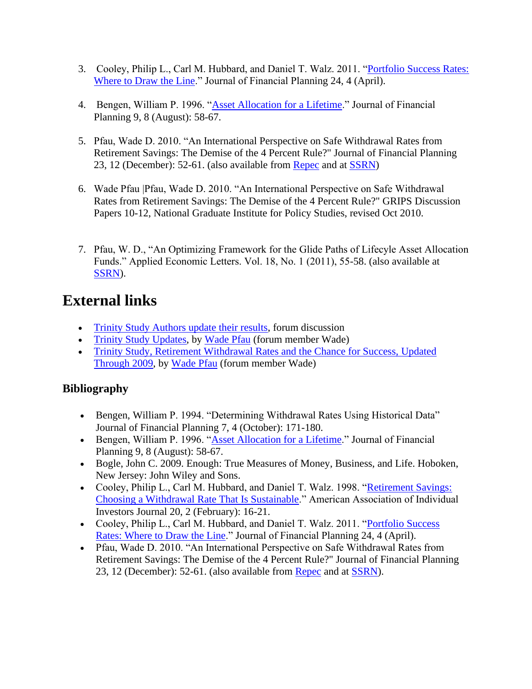- 3. Cooley, Philip L., Carl M. Hubbard, and Daniel T. Walz. 2011. ["Portfolio Success Rates:](https://www.onefpa.org/journal/Pages/Portfolio%20Success%20Rates%20Where%20to%20Draw%20the%20Line.aspx)  [Where to Draw the Line.](https://www.onefpa.org/journal/Pages/Portfolio%20Success%20Rates%20Where%20to%20Draw%20the%20Line.aspx)" Journal of Financial Planning 24, 4 (April).
- 4. Bengen, William P. 1996. ["Asset Allocation for a Lifetime.](http://www.bobsfinancialwebsite.com/pdfs/1996_Bengen_15388_1.pdf)" Journal of Financial Planning 9, 8 (August): 58-67.
- 5. Pfau, Wade D. 2010. "An International Perspective on Safe Withdrawal Rates from Retirement Savings: The Demise of the 4 Percent Rule?" Journal of Financial Planning 23, 12 (December): 52-61. (also available from [Repec](http://ideas.repec.org/p/ngi/dpaper/10-12.html) and at [SSRN\)](http://ssrn.com/abstract=1699526)
- 6. Wade Pfau |Pfau, Wade D. 2010. "An International Perspective on Safe Withdrawal Rates from Retirement Savings: The Demise of the 4 Percent Rule?" GRIPS Discussion Papers 10-12, National Graduate Institute for Policy Studies, revised Oct 2010.
- 7. Pfau, W. D., "An Optimizing Framework for the Glide Paths of Lifecyle Asset Allocation Funds." Applied Economic Letters. Vol. 18, No. 1 (2011), 55-58. (also available at [SSRN\)](http://ssrn.com/abstract=1488670).

### **External links**

- [Trinity Study Authors update their results,](http://www.bogleheads.org/forum/viewtopic.php?t=71850) forum discussion
- [Trinity Study Updates,](http://wpfau.blogspot.com/2011/04/trinity-study-updates.html) by [Wade Pfau](http://www.blogger.com/profile/04168922717655562721) (forum member Wade)
- [Trinity Study, Retirement Withdrawal Rates and the Chance for Success, Updated](http://wpfau.blogspot.com/2010/10/trinity-study-retirement-withdrawal.html)  [Through 2009,](http://wpfau.blogspot.com/2010/10/trinity-study-retirement-withdrawal.html) by [Wade Pfau](http://www.blogger.com/profile/04168922717655562721) (forum member Wade)

#### **Bibliography**

- Bengen, William P. 1994. "Determining Withdrawal Rates Using Historical Data" Journal of Financial Planning 7, 4 (October): 171-180.
- Bengen, William P. 1996. ["Asset Allocation for a Lifetime.](http://www.simonemariotti.com/downloads/Papers%20finanziari/Bengen%2096.pdf)" Journal of Financial Planning 9, 8 (August): 58-67.
- Bogle, John C. 2009. Enough: True Measures of Money, Business, and Life. Hoboken, New Jersey: John Wiley and Sons.
- Cooley, Philip L., Carl M. Hubbard, and Daniel T. Walz. 1998. ["Retirement Savings:](https://www.aaii.com/files/pdf/6794_retirement-savings-choosing-a-withdrawal-rate-that-is-sustainable.pdf)  [Choosing a Withdrawal Rate That Is Sustainable.](https://www.aaii.com/files/pdf/6794_retirement-savings-choosing-a-withdrawal-rate-that-is-sustainable.pdf)" American Association of Individual Investors Journal 20, 2 (February): 16-21.
- Cooley, Philip L., Carl M. Hubbard, and Daniel T. Walz. 2011. ["Portfolio Success](http://www.onefpa.org/journal/Pages/Portfolio%20Success%20Rates%20Where%20to%20Draw%20the%20Line.aspx)  [Rates: Where to Draw the Line.](http://www.onefpa.org/journal/Pages/Portfolio%20Success%20Rates%20Where%20to%20Draw%20the%20Line.aspx)" Journal of Financial Planning 24, 4 (April).
- Pfau, Wade D. 2010. "An International Perspective on Safe Withdrawal Rates from Retirement Savings: The Demise of the 4 Percent Rule?" Journal of Financial Planning 23, 12 (December): 52-61. (also available from [Repec](http://ideas.repec.org/p/ngi/dpaper/10-12.html) and at [SSRN\)](http://ssrn.com/abstract=1699526).